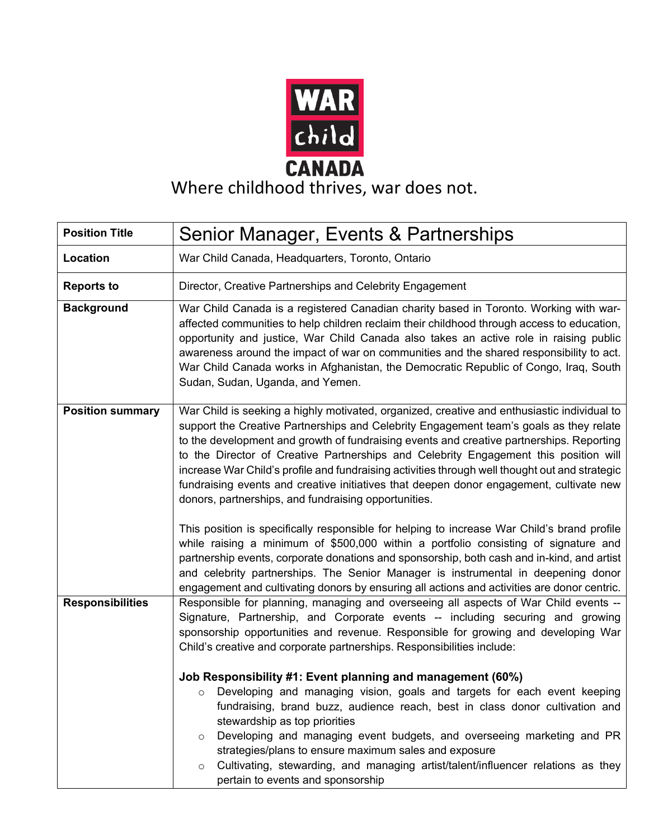

## **CANADA**<br>Where childhood thrives, war does not.

| <b>Position Title</b>   | Senior Manager, Events & Partnerships                                                                                                                                                                                                                                                                                                                                                                                                                                                                                                                                                                                          |
|-------------------------|--------------------------------------------------------------------------------------------------------------------------------------------------------------------------------------------------------------------------------------------------------------------------------------------------------------------------------------------------------------------------------------------------------------------------------------------------------------------------------------------------------------------------------------------------------------------------------------------------------------------------------|
| Location                | War Child Canada, Headquarters, Toronto, Ontario                                                                                                                                                                                                                                                                                                                                                                                                                                                                                                                                                                               |
| <b>Reports to</b>       | Director, Creative Partnerships and Celebrity Engagement                                                                                                                                                                                                                                                                                                                                                                                                                                                                                                                                                                       |
| <b>Background</b>       | War Child Canada is a registered Canadian charity based in Toronto. Working with war-<br>affected communities to help children reclaim their childhood through access to education,<br>opportunity and justice, War Child Canada also takes an active role in raising public<br>awareness around the impact of war on communities and the shared responsibility to act.<br>War Child Canada works in Afghanistan, the Democratic Republic of Congo, Iraq, South<br>Sudan, Sudan, Uganda, and Yemen.                                                                                                                            |
| <b>Position summary</b> | War Child is seeking a highly motivated, organized, creative and enthusiastic individual to<br>support the Creative Partnerships and Celebrity Engagement team's goals as they relate<br>to the development and growth of fundraising events and creative partnerships. Reporting<br>to the Director of Creative Partnerships and Celebrity Engagement this position will<br>increase War Child's profile and fundraising activities through well thought out and strategic<br>fundraising events and creative initiatives that deepen donor engagement, cultivate new<br>donors, partnerships, and fundraising opportunities. |
|                         | This position is specifically responsible for helping to increase War Child's brand profile<br>while raising a minimum of \$500,000 within a portfolio consisting of signature and<br>partnership events, corporate donations and sponsorship, both cash and in-kind, and artist<br>and celebrity partnerships. The Senior Manager is instrumental in deepening donor<br>engagement and cultivating donors by ensuring all actions and activities are donor centric.                                                                                                                                                           |
| <b>Responsibilities</b> | Responsible for planning, managing and overseeing all aspects of War Child events --<br>Signature, Partnership, and Corporate events -- including securing and growing<br>sponsorship opportunities and revenue. Responsible for growing and developing War<br>Child's creative and corporate partnerships. Responsibilities include:                                                                                                                                                                                                                                                                                          |
|                         | Job Responsibility #1: Event planning and management (60%)<br>Developing and managing vision, goals and targets for each event keeping<br>O<br>fundraising, brand buzz, audience reach, best in class donor cultivation and<br>stewardship as top priorities<br>Developing and managing event budgets, and overseeing marketing and PR<br>$\circ$<br>strategies/plans to ensure maximum sales and exposure<br>Cultivating, stewarding, and managing artist/talent/influencer relations as they<br>$\circ$<br>pertain to events and sponsorship                                                                                 |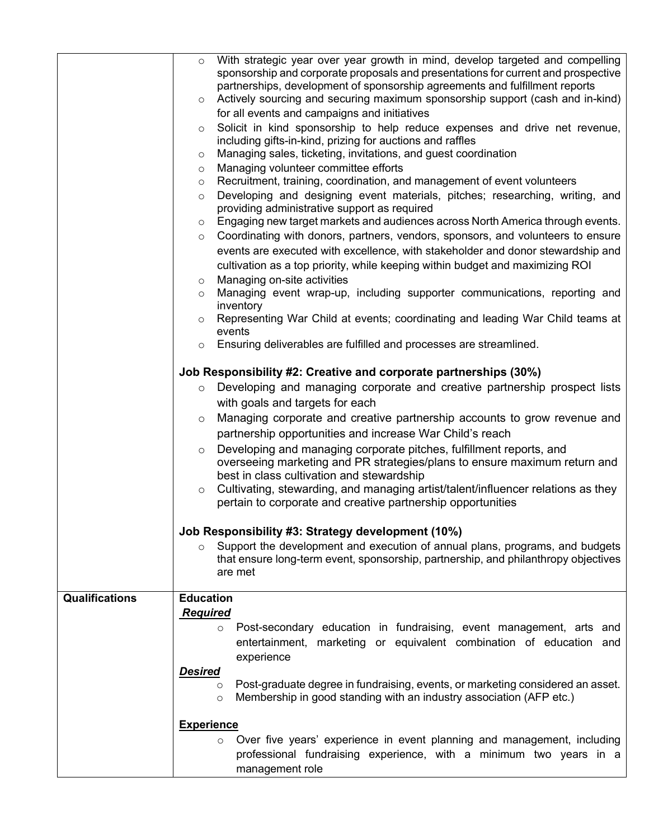|                | With strategic year over year growth in mind, develop targeted and compelling<br>$\circ$<br>sponsorship and corporate proposals and presentations for current and prospective |
|----------------|-------------------------------------------------------------------------------------------------------------------------------------------------------------------------------|
|                | partnerships, development of sponsorship agreements and fulfillment reports<br>Actively sourcing and securing maximum sponsorship support (cash and in-kind)<br>$\circ$       |
|                | for all events and campaigns and initiatives                                                                                                                                  |
|                | Solicit in kind sponsorship to help reduce expenses and drive net revenue,<br>$\circ$<br>including gifts-in-kind, prizing for auctions and raffles                            |
|                | Managing sales, ticketing, invitations, and guest coordination<br>$\circ$                                                                                                     |
|                | Managing volunteer committee efforts<br>$\circ$                                                                                                                               |
|                | Recruitment, training, coordination, and management of event volunteers<br>$\circ$<br>Developing and designing event materials, pitches; researching, writing, and            |
|                | $\circ$<br>providing administrative support as required                                                                                                                       |
|                | Engaging new target markets and audiences across North America through events.<br>$\circ$                                                                                     |
|                | Coordinating with donors, partners, vendors, sponsors, and volunteers to ensure<br>$\circ$                                                                                    |
|                | events are executed with excellence, with stakeholder and donor stewardship and                                                                                               |
|                | cultivation as a top priority, while keeping within budget and maximizing ROI                                                                                                 |
|                | Managing on-site activities<br>$\circ$                                                                                                                                        |
|                | Managing event wrap-up, including supporter communications, reporting and<br>$\circ$<br>inventory                                                                             |
|                | Representing War Child at events; coordinating and leading War Child teams at<br>$\circ$<br>events                                                                            |
|                | Ensuring deliverables are fulfilled and processes are streamlined.<br>$\circ$                                                                                                 |
|                | Job Responsibility #2: Creative and corporate partnerships (30%)                                                                                                              |
|                | Developing and managing corporate and creative partnership prospect lists<br>$\circ$                                                                                          |
|                | with goals and targets for each                                                                                                                                               |
|                | Managing corporate and creative partnership accounts to grow revenue and<br>$\circ$                                                                                           |
|                | partnership opportunities and increase War Child's reach                                                                                                                      |
|                | Developing and managing corporate pitches, fulfillment reports, and<br>$\circ$                                                                                                |
|                | overseeing marketing and PR strategies/plans to ensure maximum return and                                                                                                     |
|                | best in class cultivation and stewardship<br>Cultivating, stewarding, and managing artist/talent/influencer relations as they<br>$\circ$                                      |
|                | pertain to corporate and creative partnership opportunities                                                                                                                   |
|                | Job Responsibility #3: Strategy development (10%)                                                                                                                             |
|                | Support the development and execution of annual plans, programs, and budgets<br>$\circ$                                                                                       |
|                | that ensure long-term event, sponsorship, partnership, and philanthropy objectives                                                                                            |
|                | are met                                                                                                                                                                       |
| Qualifications | <b>Education</b>                                                                                                                                                              |
|                | <b>Required</b>                                                                                                                                                               |
|                | Post-secondary education in fundraising, event management, arts and<br>$\circ$                                                                                                |
|                | entertainment, marketing or equivalent combination of education and                                                                                                           |
|                | experience                                                                                                                                                                    |
|                | <b>Desired</b>                                                                                                                                                                |
|                | Post-graduate degree in fundraising, events, or marketing considered an asset.<br>$\circ$<br>Membership in good standing with an industry association (AFP etc.)<br>$\circ$   |
|                |                                                                                                                                                                               |
|                | <b>Experience</b>                                                                                                                                                             |
|                | Over five years' experience in event planning and management, including<br>$\circ$<br>professional fundraising experience, with a minimum two years in a<br>management role   |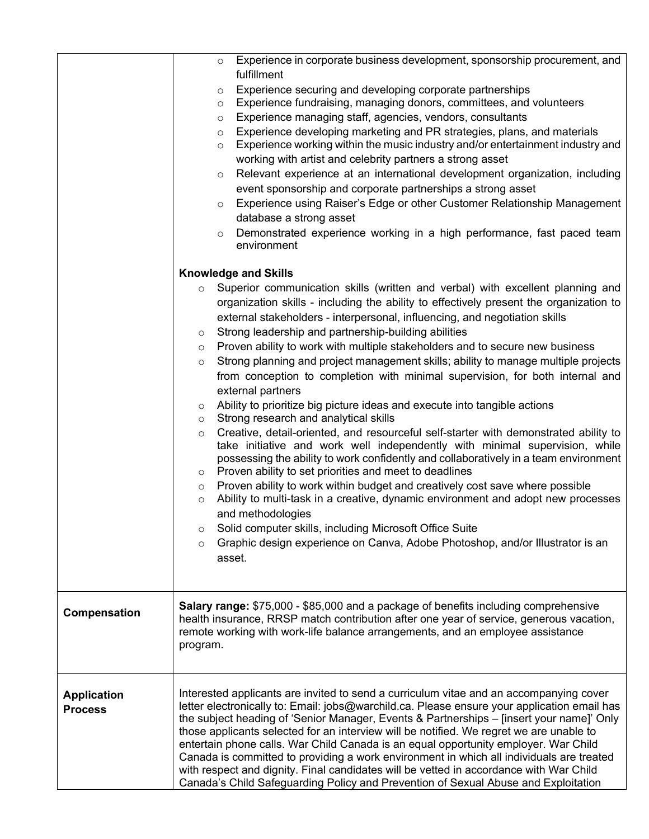|                                      | Experience in corporate business development, sponsorship procurement, and<br>$\circ$<br>fulfillment<br>Experience securing and developing corporate partnerships<br>$\circ$<br>Experience fundraising, managing donors, committees, and volunteers<br>$\circ$<br>Experience managing staff, agencies, vendors, consultants<br>$\circ$<br>Experience developing marketing and PR strategies, plans, and materials<br>$\circ$<br>Experience working within the music industry and/or entertainment industry and<br>$\circ$<br>working with artist and celebrity partners a strong asset<br>Relevant experience at an international development organization, including<br>$\circ$<br>event sponsorship and corporate partnerships a strong asset<br>Experience using Raiser's Edge or other Customer Relationship Management<br>$\circ$<br>database a strong asset<br>Demonstrated experience working in a high performance, fast paced team<br>$\circ$<br>environment                                                                                                                                                                                                                                                                                                                                                                                                                                                                                                                                                                                       |
|--------------------------------------|-------------------------------------------------------------------------------------------------------------------------------------------------------------------------------------------------------------------------------------------------------------------------------------------------------------------------------------------------------------------------------------------------------------------------------------------------------------------------------------------------------------------------------------------------------------------------------------------------------------------------------------------------------------------------------------------------------------------------------------------------------------------------------------------------------------------------------------------------------------------------------------------------------------------------------------------------------------------------------------------------------------------------------------------------------------------------------------------------------------------------------------------------------------------------------------------------------------------------------------------------------------------------------------------------------------------------------------------------------------------------------------------------------------------------------------------------------------------------------------------------------------------------------------------------------------|
|                                      | <b>Knowledge and Skills</b><br>Superior communication skills (written and verbal) with excellent planning and<br>$\circ$<br>organization skills - including the ability to effectively present the organization to<br>external stakeholders - interpersonal, influencing, and negotiation skills<br>Strong leadership and partnership-building abilities<br>$\circ$<br>Proven ability to work with multiple stakeholders and to secure new business<br>$\circ$<br>Strong planning and project management skills; ability to manage multiple projects<br>$\circ$<br>from conception to completion with minimal supervision, for both internal and<br>external partners<br>Ability to prioritize big picture ideas and execute into tangible actions<br>$\circ$<br>Strong research and analytical skills<br>$\circ$<br>Creative, detail-oriented, and resourceful self-starter with demonstrated ability to<br>$\circ$<br>take initiative and work well independently with minimal supervision, while<br>possessing the ability to work confidently and collaboratively in a team environment<br>Proven ability to set priorities and meet to deadlines<br>$\circ$<br>Proven ability to work within budget and creatively cost save where possible<br>$\circ$<br>Ability to multi-task in a creative, dynamic environment and adopt new processes<br>$\circ$<br>and methodologies<br>Solid computer skills, including Microsoft Office Suite<br>$\circ$<br>Graphic design experience on Canva, Adobe Photoshop, and/or Illustrator is an<br>$\circ$<br>asset. |
| Compensation                         | <b>Salary range: \$75,000 - \$85,000 and a package of benefits including comprehensive</b><br>health insurance, RRSP match contribution after one year of service, generous vacation,<br>remote working with work-life balance arrangements, and an employee assistance<br>program.                                                                                                                                                                                                                                                                                                                                                                                                                                                                                                                                                                                                                                                                                                                                                                                                                                                                                                                                                                                                                                                                                                                                                                                                                                                                         |
| <b>Application</b><br><b>Process</b> | Interested applicants are invited to send a curriculum vitae and an accompanying cover<br>letter electronically to: Email: jobs@warchild.ca. Please ensure your application email has<br>the subject heading of 'Senior Manager, Events & Partnerships - [insert your name]' Only<br>those applicants selected for an interview will be notified. We regret we are unable to<br>entertain phone calls. War Child Canada is an equal opportunity employer. War Child<br>Canada is committed to providing a work environment in which all individuals are treated<br>with respect and dignity. Final candidates will be vetted in accordance with War Child<br>Canada's Child Safeguarding Policy and Prevention of Sexual Abuse and Exploitation                                                                                                                                                                                                                                                                                                                                                                                                                                                                                                                                                                                                                                                                                                                                                                                                             |